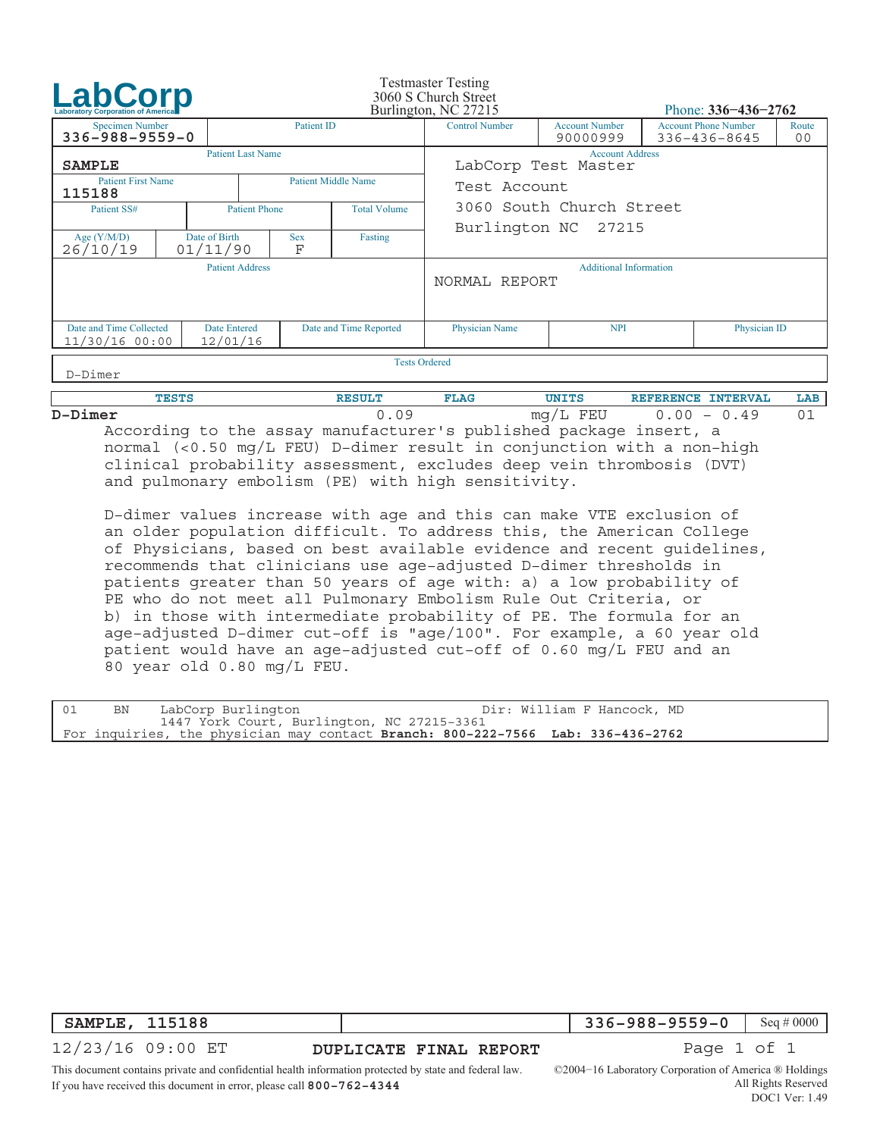| <b>LabCorp</b>                                                                                           |                      |                           |                 |                               | <b>Testmaster Testing</b><br>3060 S Church Street<br>Burlington, NC 27215 |                                               | Phone: $336 - 436 - 2762$ |  |  |
|----------------------------------------------------------------------------------------------------------|----------------------|---------------------------|-----------------|-------------------------------|---------------------------------------------------------------------------|-----------------------------------------------|---------------------------|--|--|
| Patient ID<br><b>Specimen Number</b><br>$336 - 988 - 9559 - 0$                                           |                      |                           |                 | <b>Control Number</b>         | <b>Account Number</b><br>90000999                                         | <b>Account Phone Number</b><br>336-436-8645   | Route<br>00               |  |  |
| <b>SAMPLE</b>                                                                                            |                      | <b>Patient Last Name</b>  |                 |                               |                                                                           | <b>Account Address</b><br>LabCorp Test Master |                           |  |  |
| <b>Patient First Name</b><br>115188                                                                      |                      |                           |                 | <b>Patient Middle Name</b>    | Test Account                                                              |                                               |                           |  |  |
| Patient SS#<br><b>Patient Phone</b>                                                                      |                      |                           |                 | <b>Total Volume</b>           | 3060 South Church Street                                                  |                                               |                           |  |  |
| Age $(Y/M/D)$<br>26/10/19                                                                                |                      | Date of Birth<br>01/11/90 | <b>Sex</b><br>F | Fasting                       | Burlington NC 27215                                                       |                                               |                           |  |  |
| <b>Patient Address</b>                                                                                   |                      |                           | NORMAL REPORT   | <b>Additional Information</b> |                                                                           |                                               |                           |  |  |
| Date and Time Collected<br><b>Date Entered</b><br>Date and Time Reported<br>12/01/16<br>$11/30/16$ 00:00 |                      |                           |                 |                               | <b>Physician Name</b>                                                     | <b>NPI</b>                                    | Physician ID              |  |  |
| $D$ -Dimer                                                                                               | <b>Tests Ordered</b> |                           |                 |                               |                                                                           |                                               |                           |  |  |

|          | $TES^{\pi}$ | --<br><b>JAG</b> | (TNTT)                                | <b><i>INTERVAL</i></b><br>$\blacksquare$ DRN $C$ R . | <b>LAP</b> |
|----------|-------------|------------------|---------------------------------------|------------------------------------------------------|------------|
| <b>D</b> |             |                  | FEU<br>mc<br>$\overline{\phantom{a}}$ | n c<br>49<br>$\overline{\phantom{0}}$                | 0 -        |
|          |             |                  |                                       |                                                      |            |

 According to the assay manufacturer's published package insert, a normal (<0.50 mg/L FEU) D−dimer result in conjunction with a non−high clinical probability assessment, excludes deep vein thrombosis (DVT) and pulmonary embolism (PE) with high sensitivity.

 D−dimer values increase with age and this can make VTE exclusion of an older population difficult. To address this, the American College of Physicians, based on best available evidence and recent guidelines, recommends that clinicians use age−adjusted D−dimer thresholds in patients greater than 50 years of age with: a) a low probability of PE who do not meet all Pulmonary Embolism Rule Out Criteria, or b) in those with intermediate probability of PE. The formula for an age−adjusted D−dimer cut−off is "age/100". For example, a 60 year old patient would have an age−adjusted cut−off of 0.60 mg/L FEU and an 80 year old 0.80 mg/L FEU.

| $\begin{array}{c} \begin{array}{c} \end{array}$ | BN | Dir: William F Hancock, MD<br>LabCorp Burlington                                |  |
|-------------------------------------------------|----|---------------------------------------------------------------------------------|--|
|                                                 |    | 1447 York Court, Burlington, NC 27215-3361                                      |  |
|                                                 |    | For inquiries, the physician may contact Branch: 800-222-7566 Lab: 336-436-2762 |  |

| $ $ SAMPLE, 115188 |                        | 336-988-9559-0   Seq # 0000 |  |
|--------------------|------------------------|-----------------------------|--|
| 12/23/16 09:00 ET  | DUPLICATE FINAL REPORT | Page 1 of 1                 |  |

This document contains private and confidential health information protected by state and federal law. If you have received this document in error, please call **800−762−4344**

©2004−16 Laboratory Corporation of America ® Holdings All Rights Reserved DOC1 Ver: 1.49